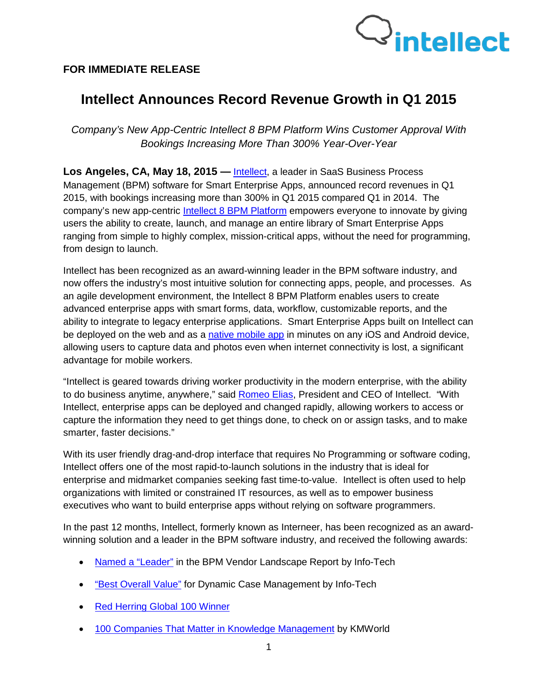

## **FOR IMMEDIATE RELEASE**

## **Intellect Announces Record Revenue Growth in Q1 2015**

*Company's New App-Centric Intellect 8 BPM Platform Wins Customer Approval With Bookings Increasing More Than 300% Year-Over-Year*

**Los Angeles, CA, May 18, 2015 —** [Intellect,](http://www.intellect.com/) a leader in SaaS Business Process Management (BPM) software for [Smart](http://www.interneer.com/hosted-workflow-products-services/intellect-cloud/) Enterprise Apps, announced record revenues in Q1 2015, with bookings increasing more than 300% in Q1 2015 compared Q1 in 2014. The company's new app-centric [Intellect 8 BPM Platform](http://www.intellect.com/hosted-workflow-products-services/intellect-cloud/) empowers everyone to innovate by giving users the ability to create, launch, and manage an entire library of Smart Enterprise Apps ranging from simple to highly complex, mission-critical apps, without the need for programming, from design to launch.

Intellect has been recognized as an award-winning leader in the BPM software industry, and now offers the industry's most intuitive solution for connecting apps, people, and processes. As an agile development environment, the Intellect 8 BPM Platform enables users to create advanced enterprise apps with smart forms, data, workflow, customizable reports, and the ability to integrate to legacy enterprise applications. Smart Enterprise Apps built on Intellect can be deployed on the web and as a [native mobile app](http://www.intellect.com/intellect-mobileapps/) in minutes on any iOS and Android device, allowing users to capture data and photos even when internet connectivity is lost, a significant advantage for mobile workers.

"Intellect is geared towards driving worker productivity in the modern enterprise, with the ability to do business anytime, anywhere," said **Romeo Elias**, President and CEO of Intellect. "With Intellect, enterprise apps can be deployed and changed rapidly, allowing workers to access or capture the information they need to get things done, to check on or assign tasks, and to make smarter, faster decisions."

With its user friendly drag-and-drop interface that requires No Programming or software coding, Intellect offers one of the most rapid-to-launch solutions in the industry that is ideal for enterprise and midmarket companies seeking fast time-to-value. Intellect is often used to help organizations with limited or constrained IT resources, as well as to empower business executives who want to build enterprise apps without relying on software programmers.

In the past 12 months, Intellect, formerly known as Interneer, has been recognized as an awardwinning solution and a leader in the BPM software industry, and received the following awards:

- [Named a "Leader"](http://unbounce.interneer.com/bpm-leader/?__hstc=115497817.0b692da78a8bdb10cb72049070a3ff10.1426713856261.1431546998814.1431621461178.73&__hssc=115497817.6.1431621461178&__hsfp=2716089806) in the BPM Vendor Landscape Report by Info-Tech
- ["Best Overall Value"](http://unbounce.interneer.com/bpm-leader/?__hstc=115497817.0b692da78a8bdb10cb72049070a3ff10.1426713856261.1431546998814.1431621461178.73&__hssc=115497817.6.1431621461178&__hsfp=2716089806) for Dynamic Case Management by Info-Tech
- [Red Herring Global 100 Winner](http://www.redherring.com/events/red-herring-global/2014-top100-winners/)
- [100 Companies That Matter in Knowledge Management](http://www.interneer.com/Portals/90848/docs/Interneer%20PR_KMWorld%20100_03%2003%2014%20FINAL3.pdf?__hstc=115497817.0b692da78a8bdb10cb72049070a3ff10.1426713856261.1431546998814.1431621461178.73&__hssc=115497817.9.1431621461178&__hsfp=2716089806) by KMWorld